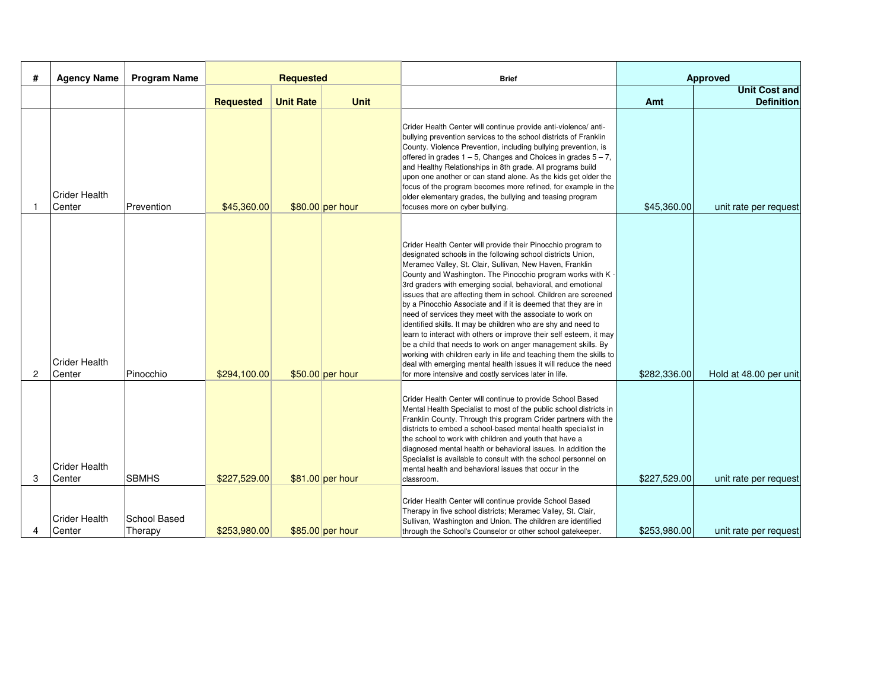| #              | <b>Agency Name</b>             | <b>Program Name</b>            | <b>Requested</b> |                  |                  | <b>Brief</b>                                                                                                                                                                                                                                                                                                                                                                                                                                                                                                                                                                                                                                                                                                                                                                                                                                                                                                                    | Approved     |                                           |
|----------------|--------------------------------|--------------------------------|------------------|------------------|------------------|---------------------------------------------------------------------------------------------------------------------------------------------------------------------------------------------------------------------------------------------------------------------------------------------------------------------------------------------------------------------------------------------------------------------------------------------------------------------------------------------------------------------------------------------------------------------------------------------------------------------------------------------------------------------------------------------------------------------------------------------------------------------------------------------------------------------------------------------------------------------------------------------------------------------------------|--------------|-------------------------------------------|
|                |                                |                                | <b>Requested</b> | <b>Unit Rate</b> | <b>Unit</b>      |                                                                                                                                                                                                                                                                                                                                                                                                                                                                                                                                                                                                                                                                                                                                                                                                                                                                                                                                 | Amt          | <b>Unit Cost and</b><br><b>Definition</b> |
|                | <b>Crider Health</b><br>Center | Prevention                     | \$45,360.00      |                  | \$80.00 per hour | Crider Health Center will continue provide anti-violence/ anti-<br>bullying prevention services to the school districts of Franklin<br>County. Violence Prevention, including bullying prevention, is<br>offered in grades $1 - 5$ , Changes and Choices in grades $5 - 7$ ,<br>and Healthy Relationships in 8th grade. All programs build<br>upon one another or can stand alone. As the kids get older the<br>focus of the program becomes more refined, for example in the<br>older elementary grades, the bullying and teasing program<br>focuses more on cyber bullying.                                                                                                                                                                                                                                                                                                                                                   | \$45,360.00  | unit rate per request                     |
| $\overline{2}$ | <b>Crider Health</b><br>Center | Pinocchio                      | \$294,100.00     |                  | \$50.00 per hour | Crider Health Center will provide their Pinocchio program to<br>designated schools in the following school districts Union,<br>Meramec Valley, St. Clair, Sullivan, New Haven, Franklin<br>County and Washington. The Pinocchio program works with K -<br>3rd graders with emerging social, behavioral, and emotional<br>issues that are affecting them in school. Children are screened<br>by a Pinocchio Associate and if it is deemed that they are in<br>need of services they meet with the associate to work on<br>identified skills. It may be children who are shy and need to<br>learn to interact with others or improve their self esteem, it may<br>be a child that needs to work on anger management skills. By<br>working with children early in life and teaching them the skills to<br>deal with emerging mental health issues it will reduce the need<br>for more intensive and costly services later in life. | \$282,336,00 | Hold at 48.00 per unit                    |
| 3              | <b>Crider Health</b><br>Center | <b>SBMHS</b>                   | \$227,529.00     |                  | \$81.00 per hour | Crider Health Center will continue to provide School Based<br>Mental Health Specialist to most of the public school districts in<br>Franklin County. Through this program Crider partners with the<br>districts to embed a school-based mental health specialist in<br>the school to work with children and youth that have a<br>diagnosed mental health or behavioral issues. In addition the<br>Specialist is available to consult with the school personnel on<br>mental health and behavioral issues that occur in the<br>classroom.                                                                                                                                                                                                                                                                                                                                                                                        | \$227,529.00 | unit rate per request                     |
| 4              | <b>Crider Health</b><br>Center | <b>School Based</b><br>Therapy | \$253,980.00     |                  | \$85.00 per hour | Crider Health Center will continue provide School Based<br>Therapy in five school districts; Meramec Valley, St. Clair,<br>Sullivan, Washington and Union. The children are identified<br>through the School's Counselor or other school gatekeeper.                                                                                                                                                                                                                                                                                                                                                                                                                                                                                                                                                                                                                                                                            | \$253,980.00 | unit rate per request                     |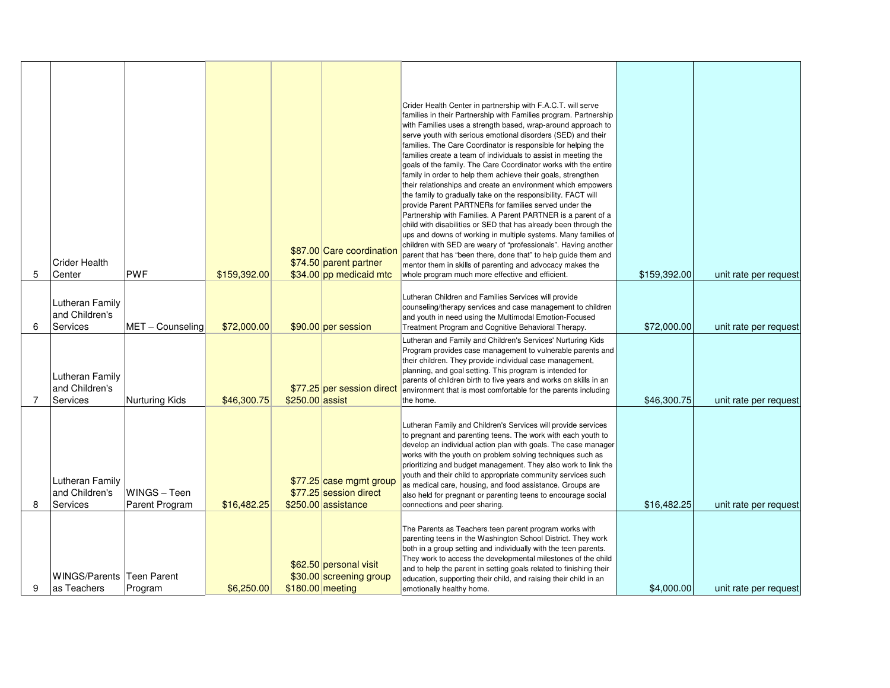| 5 | <b>Crider Health</b><br>Center                | <b>PWF</b>                     | \$159,392.00 |                  | \$87.00 Care coordination<br>\$74.50 parent partner<br>\$34.00 pp medicaid mtc | Crider Health Center in partnership with F.A.C.T. will serve<br>families in their Partnership with Families program. Partnership<br>with Families uses a strength based, wrap-around approach to<br>serve youth with serious emotional disorders (SED) and their<br>families. The Care Coordinator is responsible for helping the<br>families create a team of individuals to assist in meeting the<br>goals of the family. The Care Coordinator works with the entire<br>family in order to help them achieve their goals, strengthen<br>their relationships and create an environment which empowers<br>the family to gradually take on the responsibility. FACT will<br>provide Parent PARTNERs for families served under the<br>Partnership with Families. A Parent PARTNER is a parent of a<br>child with disabilities or SED that has already been through the<br>ups and downs of working in multiple systems. Many families of<br>children with SED are weary of "professionals". Having another<br>parent that has "been there, done that" to help guide them and<br>mentor them in skills of parenting and advocacy makes the<br>whole program much more effective and efficient. | \$159,392.00 | unit rate per request |
|---|-----------------------------------------------|--------------------------------|--------------|------------------|--------------------------------------------------------------------------------|---------------------------------------------------------------------------------------------------------------------------------------------------------------------------------------------------------------------------------------------------------------------------------------------------------------------------------------------------------------------------------------------------------------------------------------------------------------------------------------------------------------------------------------------------------------------------------------------------------------------------------------------------------------------------------------------------------------------------------------------------------------------------------------------------------------------------------------------------------------------------------------------------------------------------------------------------------------------------------------------------------------------------------------------------------------------------------------------------------------------------------------------------------------------------------------------|--------------|-----------------------|
| 6 | Lutheran Family<br>and Children's<br>Services | MET - Counseling               | \$72,000.00  |                  | \$90.00 per session                                                            | Lutheran Children and Families Services will provide<br>counseling/therapy services and case management to children<br>and youth in need using the Multimodal Emotion-Focused<br>Treatment Program and Cognitive Behavioral Therapy.                                                                                                                                                                                                                                                                                                                                                                                                                                                                                                                                                                                                                                                                                                                                                                                                                                                                                                                                                        | \$72,000.00  | unit rate per request |
| 7 | Lutheran Family<br>and Children's<br>Services | Nurturing Kids                 | \$46,300.75  | \$250.00 assist  | \$77.25 per session direct                                                     | Lutheran and Family and Children's Services' Nurturing Kids<br>Program provides case management to vulnerable parents and<br>their children. They provide individual case management,<br>planning, and goal setting. This program is intended for<br>parents of children birth to five years and works on skills in an<br>environment that is most comfortable for the parents including<br>the home.                                                                                                                                                                                                                                                                                                                                                                                                                                                                                                                                                                                                                                                                                                                                                                                       | \$46,300.75  | unit rate per request |
| 8 | Lutheran Family<br>and Children's<br>Services | WINGS - Teen<br>Parent Program | \$16,482.25  |                  | \$77.25 case mgmt group<br>\$77.25 session direct<br>\$250.00 assistance       | Lutheran Family and Children's Services will provide services<br>to pregnant and parenting teens. The work with each youth to<br>develop an individual action plan with goals. The case manager<br>works with the youth on problem solving techniques such as<br>prioritizing and budget management. They also work to link the<br>youth and their child to appropriate community services such<br>as medical care, housing, and food assistance. Groups are<br>also held for pregnant or parenting teens to encourage social<br>connections and peer sharing.                                                                                                                                                                                                                                                                                                                                                                                                                                                                                                                                                                                                                              | \$16,482.25  | unit rate per request |
| 9 | WINGS/Parents Teen Parent<br>as Teachers      | Program                        | \$6,250.00   | \$180.00 meeting | \$62.50 personal visit<br>\$30.00 screening group                              | The Parents as Teachers teen parent program works with<br>parenting teens in the Washington School District. They work<br>both in a group setting and individually with the teen parents.<br>They work to access the developmental milestones of the child<br>and to help the parent in setting goals related to finishing their<br>education, supporting their child, and raising their child in an<br>emotionally healthy home.                                                                                                                                                                                                                                                                                                                                                                                                                                                                                                                                                                                                                                                                                                                                                           | \$4,000.00   | unit rate per request |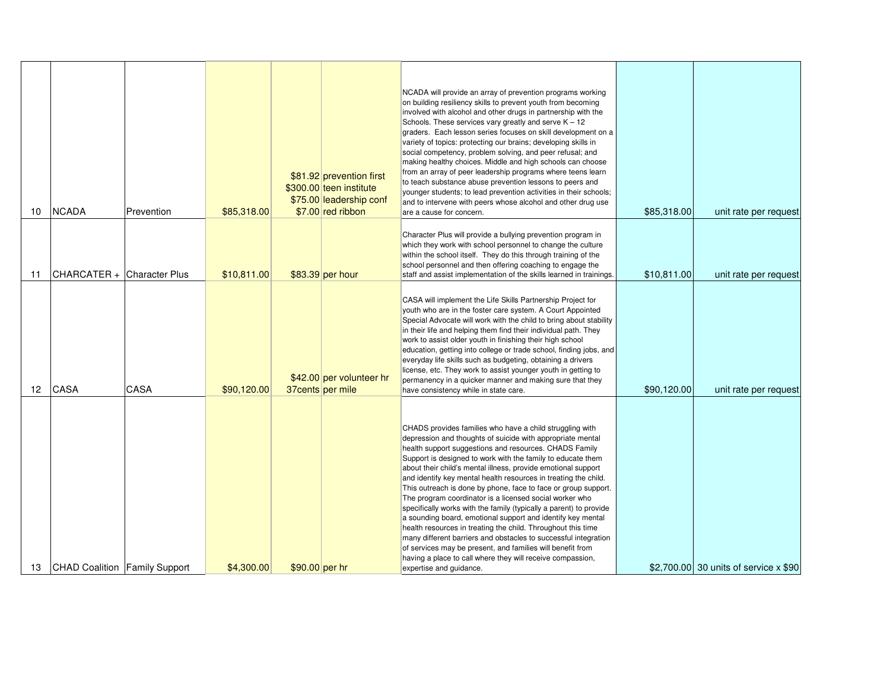| 10 | <b>NCADA</b>                  | Prevention | \$85,318.00 |                | \$81.92 prevention first<br>\$300.00 teen institute<br>\$75.00 leadership conf<br>\$7.00 red ribbon | NCADA will provide an array of prevention programs working<br>on building resiliency skills to prevent youth from becoming<br>involved with alcohol and other drugs in partnership with the<br>Schools. These services vary greatly and serve $K - 12$<br>graders. Each lesson series focuses on skill development on a<br>variety of topics: protecting our brains; developing skills in<br>social competency, problem solving, and peer refusal; and<br>making healthy choices. Middle and high schools can choose<br>from an array of peer leadership programs where teens learn<br>to teach substance abuse prevention lessons to peers and<br>younger students; to lead prevention activities in their schools;<br>and to intervene with peers whose alcohol and other drug use<br>are a cause for concern.                                                                                                                                | \$85,318.00 | unit rate per request                 |
|----|-------------------------------|------------|-------------|----------------|-----------------------------------------------------------------------------------------------------|-------------------------------------------------------------------------------------------------------------------------------------------------------------------------------------------------------------------------------------------------------------------------------------------------------------------------------------------------------------------------------------------------------------------------------------------------------------------------------------------------------------------------------------------------------------------------------------------------------------------------------------------------------------------------------------------------------------------------------------------------------------------------------------------------------------------------------------------------------------------------------------------------------------------------------------------------|-------------|---------------------------------------|
| 11 | CHARCATER + Character Plus    |            | \$10,811.00 |                | \$83.39 per hour                                                                                    | Character Plus will provide a bullying prevention program in<br>which they work with school personnel to change the culture<br>within the school itself. They do this through training of the<br>school personnel and then offering coaching to engage the<br>staff and assist implementation of the skills learned in trainings.                                                                                                                                                                                                                                                                                                                                                                                                                                                                                                                                                                                                               | \$10,811.00 | unit rate per request                 |
| 12 | <b>CASA</b>                   | CASA       | \$90.120.00 |                | \$42.00 per volunteer hr<br>37 cents per mile                                                       | CASA will implement the Life Skills Partnership Project for<br>youth who are in the foster care system. A Court Appointed<br>Special Advocate will work with the child to bring about stability<br>in their life and helping them find their individual path. They<br>work to assist older youth in finishing their high school<br>education, getting into college or trade school, finding jobs, and<br>everyday life skills such as budgeting, obtaining a drivers<br>license, etc. They work to assist younger youth in getting to<br>permanency in a quicker manner and making sure that they<br>have consistency while in state care.                                                                                                                                                                                                                                                                                                      | \$90.120.00 | unit rate per request                 |
| 13 | CHAD Coalition Family Support |            | \$4,300.00  | \$90.00 per hr |                                                                                                     | CHADS provides families who have a child struggling with<br>depression and thoughts of suicide with appropriate mental<br>health support suggestions and resources. CHADS Family<br>Support is designed to work with the family to educate them<br>about their child's mental illness, provide emotional support<br>and identify key mental health resources in treating the child.<br>This outreach is done by phone, face to face or group support.<br>The program coordinator is a licensed social worker who<br>specifically works with the family (typically a parent) to provide<br>a sounding board, emotional support and identify key mental<br>health resources in treating the child. Throughout this time<br>many different barriers and obstacles to successful integration<br>of services may be present, and families will benefit from<br>having a place to call where they will receive compassion,<br>expertise and guidance. |             | \$2,700,00 30 units of service x \$90 |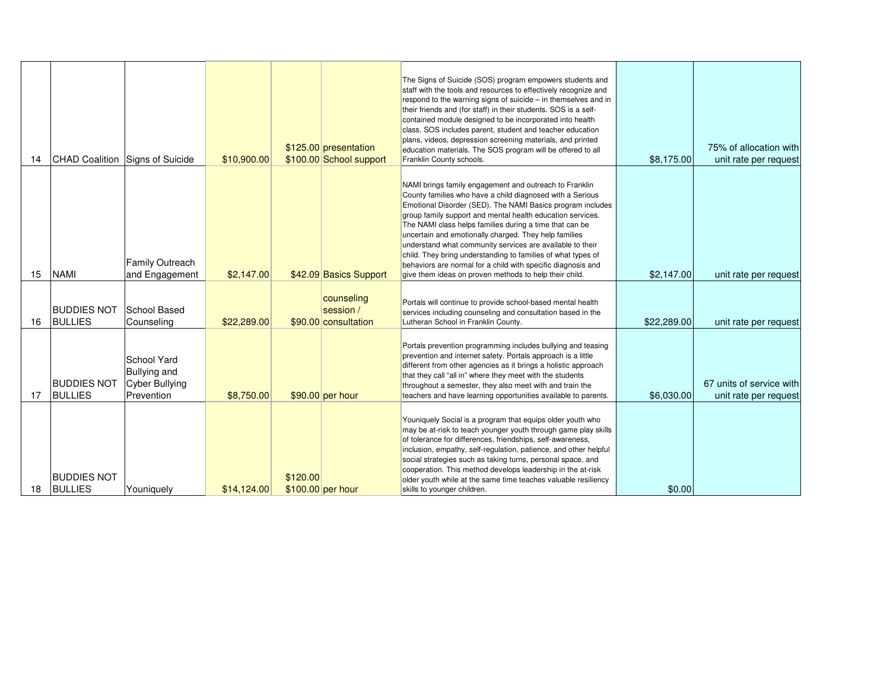|    |                                      |                                          |             |          |                                   | The Signs of Suicide (SOS) program empowers students and<br>staff with the tools and resources to effectively recognize and     |             |                          |
|----|--------------------------------------|------------------------------------------|-------------|----------|-----------------------------------|---------------------------------------------------------------------------------------------------------------------------------|-------------|--------------------------|
|    |                                      |                                          |             |          |                                   | respond to the warning signs of suicide – in themselves and in                                                                  |             |                          |
|    |                                      |                                          |             |          |                                   | their friends and (for staff) in their students. SOS is a self-<br>contained module designed to be incorporated into health     |             |                          |
|    |                                      |                                          |             |          |                                   | class. SOS includes parent, student and teacher education                                                                       |             |                          |
|    |                                      |                                          |             |          | \$125.00 presentation             | plans, videos, depression screening materials, and printed<br>education materials. The SOS program will be offered to all       |             | 75% of allocation with   |
| 14 | CHAD Coalition Signs of Suicide      |                                          | \$10,900.00 |          | \$100.00 School support           | Franklin County schools.                                                                                                        | \$8,175.00  | unit rate per request    |
|    |                                      |                                          |             |          |                                   |                                                                                                                                 |             |                          |
|    |                                      |                                          |             |          |                                   | NAMI brings family engagement and outreach to Franklin<br>County families who have a child diagnosed with a Serious             |             |                          |
|    |                                      |                                          |             |          |                                   | Emotional Disorder (SED). The NAMI Basics program includes<br>group family support and mental health education services.        |             |                          |
|    |                                      |                                          |             |          |                                   | The NAMI class helps families during a time that can be                                                                         |             |                          |
|    |                                      |                                          |             |          |                                   | uncertain and emotionally charged. They help families<br>understand what community services are available to their              |             |                          |
|    |                                      |                                          |             |          |                                   | child. They bring understanding to families of what types of                                                                    |             |                          |
| 15 | <b>NAMI</b>                          | <b>Family Outreach</b><br>and Engagement | \$2,147.00  |          | \$42.09 Basics Support            | behaviors are normal for a child with specific diagnosis and<br>give them ideas on proven methods to help their child.          | \$2,147.00  | unit rate per request    |
|    |                                      |                                          |             |          |                                   |                                                                                                                                 |             |                          |
|    |                                      |                                          |             |          | counseling                        | Portals will continue to provide school-based mental health                                                                     |             |                          |
| 16 | <b>BUDDIES NOT</b><br><b>BULLIES</b> | School Based<br>Counseling               | \$22,289.00 |          | session /<br>\$90.00 consultation | services including counseling and consultation based in the<br>Lutheran School in Franklin County.                              | \$22,289.00 |                          |
|    |                                      |                                          |             |          |                                   |                                                                                                                                 |             | unit rate per request    |
|    |                                      |                                          |             |          |                                   | Portals prevention programming includes bullying and teasing                                                                    |             |                          |
|    |                                      | School Yard                              |             |          |                                   | prevention and internet safety. Portals approach is a little<br>different from other agencies as it brings a holistic approach  |             |                          |
|    | <b>BUDDIES NOT</b>                   | Bullying and                             |             |          |                                   | that they call "all in" where they meet with the students                                                                       |             | 67 units of service with |
| 17 | <b>BULLIES</b>                       | Cyber Bullying<br>Prevention             | \$8,750.00  |          | \$90.00 per hour                  | throughout a semester, they also meet with and train the<br>teachers and have learning opportunities available to parents.      | \$6,030.00  | unit rate per request    |
|    |                                      |                                          |             |          |                                   |                                                                                                                                 |             |                          |
|    |                                      |                                          |             |          |                                   | Youniquely Social is a program that equips older youth who                                                                      |             |                          |
|    |                                      |                                          |             |          |                                   | may be at-risk to teach younger youth through game play skills<br>of tolerance for differences, friendships, self-awareness,    |             |                          |
|    |                                      |                                          |             |          |                                   | inclusion, empathy, self-regulation, patience, and other helpful<br>social strategies such as taking turns, personal space, and |             |                          |
|    |                                      |                                          |             |          |                                   | cooperation. This method develops leadership in the at-risk                                                                     |             |                          |
| 18 | <b>BUDDIES NOT</b><br><b>BULLIES</b> | Youniquely                               | \$14,124.00 | \$120.00 | \$100.00 per hour                 | older youth while at the same time teaches valuable resiliency<br>skills to younger children.                                   | \$0.00      |                          |
|    |                                      |                                          |             |          |                                   |                                                                                                                                 |             |                          |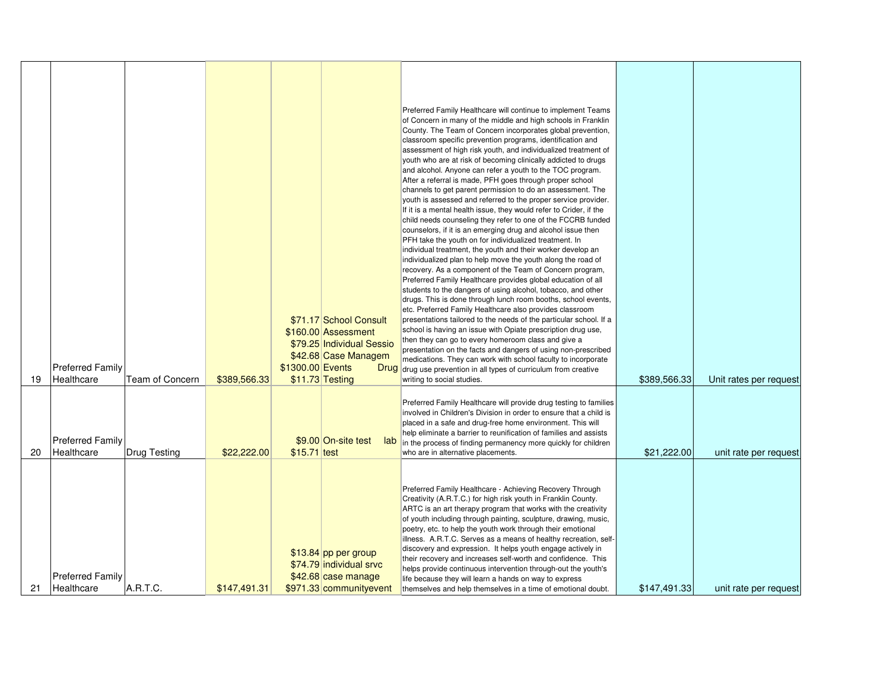|          | <b>Preferred Family</b>                                                                       |                             | \$1300.00 Events | \$71.17 School Consult<br>\$160.00 Assessment<br>\$79.25 Individual Sessio<br>\$42.68 Case Managem<br><b>Drug</b> | Preferred Family Healthcare will continue to implement Teams<br>of Concern in many of the middle and high schools in Franklin<br>County. The Team of Concern incorporates global prevention,<br>classroom specific prevention programs, identification and<br>assessment of high risk youth, and individualized treatment of<br>youth who are at risk of becoming clinically addicted to drugs<br>and alcohol. Anyone can refer a youth to the TOC program.<br>After a referral is made, PFH goes through proper school<br>channels to get parent permission to do an assessment. The<br>youth is assessed and referred to the proper service provider.<br>If it is a mental health issue, they would refer to Crider, if the<br>child needs counseling they refer to one of the FCCRB funded<br>counselors, if it is an emerging drug and alcohol issue then<br>PFH take the youth on for individualized treatment. In<br>individual treatment, the youth and their worker develop an<br>individualized plan to help move the youth along the road of<br>recovery. As a component of the Team of Concern program,<br>Preferred Family Healthcare provides global education of all<br>students to the dangers of using alcohol, tobacco, and other<br>drugs. This is done through lunch room booths, school events,<br>etc. Preferred Family Healthcare also provides classroom<br>presentations tailored to the needs of the particular school. If a<br>school is having an issue with Opiate prescription drug use,<br>then they can go to every homeroom class and give a<br>presentation on the facts and dangers of using non-prescribed<br>medications. They can work with school faculty to incorporate<br>drug use prevention in all types of curriculum from creative |                             |                                                 |
|----------|-----------------------------------------------------------------------------------------------|-----------------------------|------------------|-------------------------------------------------------------------------------------------------------------------|--------------------------------------------------------------------------------------------------------------------------------------------------------------------------------------------------------------------------------------------------------------------------------------------------------------------------------------------------------------------------------------------------------------------------------------------------------------------------------------------------------------------------------------------------------------------------------------------------------------------------------------------------------------------------------------------------------------------------------------------------------------------------------------------------------------------------------------------------------------------------------------------------------------------------------------------------------------------------------------------------------------------------------------------------------------------------------------------------------------------------------------------------------------------------------------------------------------------------------------------------------------------------------------------------------------------------------------------------------------------------------------------------------------------------------------------------------------------------------------------------------------------------------------------------------------------------------------------------------------------------------------------------------------------------------------------------------------------------------------------------------------------------------|-----------------------------|-------------------------------------------------|
| 19<br>20 | Healthcare<br><b>Team of Concern</b><br><b>Preferred Family</b><br>Healthcare<br>Drug Testing | \$389,566.33<br>\$22,222.00 | $$15.71$ test    | \$11.73 Testing<br>\$9.00 On-site test<br>lab                                                                     | writing to social studies.<br>Preferred Family Healthcare will provide drug testing to families<br>involved in Children's Division in order to ensure that a child is<br>placed in a safe and drug-free home environment. This will<br>help eliminate a barrier to reunification of families and assists<br>in the process of finding permanency more quickly for children<br>who are in alternative placements.                                                                                                                                                                                                                                                                                                                                                                                                                                                                                                                                                                                                                                                                                                                                                                                                                                                                                                                                                                                                                                                                                                                                                                                                                                                                                                                                                               | \$389,566.33<br>\$21,222.00 | Unit rates per request<br>unit rate per request |
| 21       | <b>Preferred Family</b><br>A.R.T.C.<br>Healthcare                                             | \$147.491.31                |                  | $$13.84$ pp per group<br>\$74.79 individual srvc<br>\$42.68 case manage<br>\$971.33 communityevent                | Preferred Family Healthcare - Achieving Recovery Through<br>Creativity (A.R.T.C.) for high risk youth in Franklin County.<br>ARTC is an art therapy program that works with the creativity<br>of youth including through painting, sculpture, drawing, music,<br>poetry, etc. to help the youth work through their emotional<br>illness. A.R.T.C. Serves as a means of healthy recreation, self-<br>discovery and expression. It helps youth engage actively in<br>their recovery and increases self-worth and confidence. This<br>helps provide continuous intervention through-out the youth's<br>life because they will learn a hands on way to express<br>themselves and help themselves in a time of emotional doubt.                                                                                                                                                                                                                                                                                                                                                                                                                                                                                                                                                                                                                                                                                                                                                                                                                                                                                                                                                                                                                                                     | \$147,491.33                | unit rate per request                           |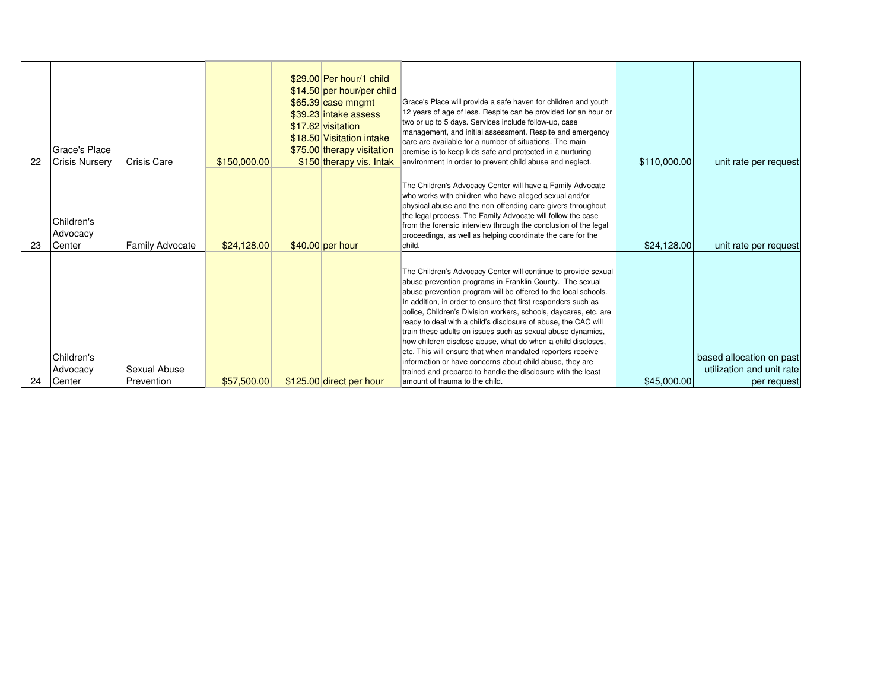| 22 | Grace's Place<br><b>Crisis Nurserv</b> | Crisis Care                | \$150,000.00 | \$29.00 Per hour/1 child<br>\$14.50 per hour/per child<br>\$65.39 case mngmt<br>\$39.23 intake assess<br>\$17.62 visitation<br>\$18.50 Visitation intake<br>\$75.00 therapy visitation<br>\$150 therapy vis. Intak | Grace's Place will provide a safe haven for children and youth<br>12 years of age of less. Respite can be provided for an hour or<br>two or up to 5 days. Services include follow-up, case<br>management, and initial assessment. Respite and emergency<br>care are available for a number of situations. The main<br>premise is to keep kids safe and protected in a nurturing<br>environment in order to prevent child abuse and neglect.                                                                                                                                                                                                                                                                                                                    | \$110,000.00 | unit rate per request                                                |
|----|----------------------------------------|----------------------------|--------------|--------------------------------------------------------------------------------------------------------------------------------------------------------------------------------------------------------------------|----------------------------------------------------------------------------------------------------------------------------------------------------------------------------------------------------------------------------------------------------------------------------------------------------------------------------------------------------------------------------------------------------------------------------------------------------------------------------------------------------------------------------------------------------------------------------------------------------------------------------------------------------------------------------------------------------------------------------------------------------------------|--------------|----------------------------------------------------------------------|
| 23 | Children's<br>Advocacy<br>Center       | <b>Family Advocate</b>     | \$24,128.00  | $$40.00$ per hour                                                                                                                                                                                                  | The Children's Advocacy Center will have a Family Advocate<br>who works with children who have alleged sexual and/or<br>physical abuse and the non-offending care-givers throughout<br>the legal process. The Family Advocate will follow the case<br>from the forensic interview through the conclusion of the legal<br>proceedings, as well as helping coordinate the care for the<br>child.                                                                                                                                                                                                                                                                                                                                                                 | \$24,128.00  | unit rate per request                                                |
| 24 | Children's<br>Advocacy<br>Center       | Sexual Abuse<br>Prevention | \$57,500.00  | \$125.00 direct per hour                                                                                                                                                                                           | The Children's Advocacy Center will continue to provide sexual<br>abuse prevention programs in Franklin County. The sexual<br>abuse prevention program will be offered to the local schools.<br>In addition, in order to ensure that first responders such as<br>police, Children's Division workers, schools, daycares, etc. are<br>ready to deal with a child's disclosure of abuse, the CAC will<br>train these adults on issues such as sexual abuse dynamics,<br>how children disclose abuse, what do when a child discloses,<br>etc. This will ensure that when mandated reporters receive<br>information or have concerns about child abuse, they are<br>trained and prepared to handle the disclosure with the least<br>amount of trauma to the child. | \$45,000.00  | based allocation on past<br>utilization and unit rate<br>per request |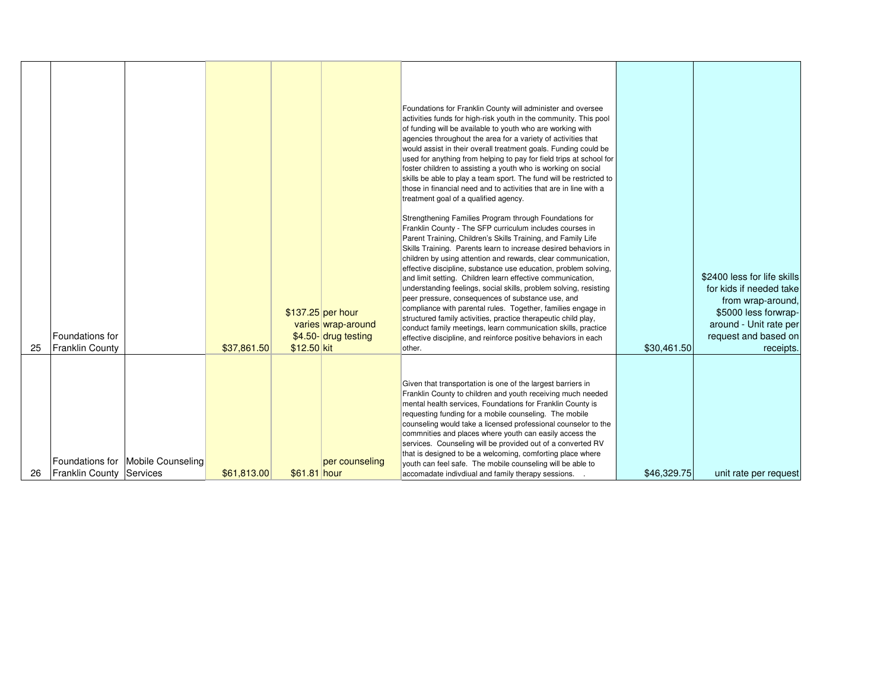|    | Foundations for          |                                   |             |              | \$137.25 per hour<br>varies wrap-around<br>\$4.50- drug testing | Foundations for Franklin County will administer and oversee<br>activities funds for high-risk youth in the community. This pool<br>of funding will be available to youth who are working with<br>agencies throughout the area for a variety of activities that<br>would assist in their overall treatment goals. Funding could be<br>used for anything from helping to pay for field trips at school for<br>foster children to assisting a youth who is working on social<br>skills be able to play a team sport. The fund will be restricted to<br>those in financial need and to activities that are in line with a<br>treatment goal of a qualified agency.<br>Strengthening Families Program through Foundations for<br>Franklin County - The SFP curriculum includes courses in<br>Parent Training, Children's Skills Training, and Family Life<br>Skills Training. Parents learn to increase desired behaviors in<br>children by using attention and rewards, clear communication,<br>effective discipline, substance use education, problem solving,<br>and limit setting. Children learn effective communication,<br>understanding feelings, social skills, problem solving, resisting<br>peer pressure, consequences of substance use, and<br>compliance with parental rules. Together, families engage in<br>structured family activities, practice therapeutic child play,<br>conduct family meetings, learn communication skills, practice<br>effective discipline, and reinforce positive behaviors in each |             | \$2400 less for life skills<br>for kids if needed take<br>from wrap-around,<br>\$5000 less forwrap-<br>around - Unit rate per<br>request and based on |
|----|--------------------------|-----------------------------------|-------------|--------------|-----------------------------------------------------------------|--------------------------------------------------------------------------------------------------------------------------------------------------------------------------------------------------------------------------------------------------------------------------------------------------------------------------------------------------------------------------------------------------------------------------------------------------------------------------------------------------------------------------------------------------------------------------------------------------------------------------------------------------------------------------------------------------------------------------------------------------------------------------------------------------------------------------------------------------------------------------------------------------------------------------------------------------------------------------------------------------------------------------------------------------------------------------------------------------------------------------------------------------------------------------------------------------------------------------------------------------------------------------------------------------------------------------------------------------------------------------------------------------------------------------------------------------------------------------------------------------------------------------|-------------|-------------------------------------------------------------------------------------------------------------------------------------------------------|
| 25 | <b>Franklin County</b>   |                                   | \$37,861.50 | \$12.50 kit  |                                                                 | other.                                                                                                                                                                                                                                                                                                                                                                                                                                                                                                                                                                                                                                                                                                                                                                                                                                                                                                                                                                                                                                                                                                                                                                                                                                                                                                                                                                                                                                                                                                                   | \$30.461.50 | receipts.                                                                                                                                             |
| 26 | Franklin County Services | Foundations for Mobile Counseling | \$61,813.00 | \$61.81 hour | per counseling                                                  | Given that transportation is one of the largest barriers in<br>Franklin County to children and youth receiving much needed<br>mental health services, Foundations for Franklin County is<br>requesting funding for a mobile counseling. The mobile<br>counseling would take a licensed professional counselor to the<br>commnities and places where youth can easily access the<br>services. Counseling will be provided out of a converted RV<br>that is designed to be a welcoming, comforting place where<br>youth can feel safe. The mobile counseling will be able to<br>accomadate indivdiual and family therapy sessions. .                                                                                                                                                                                                                                                                                                                                                                                                                                                                                                                                                                                                                                                                                                                                                                                                                                                                                       | \$46,329.75 | unit rate per request                                                                                                                                 |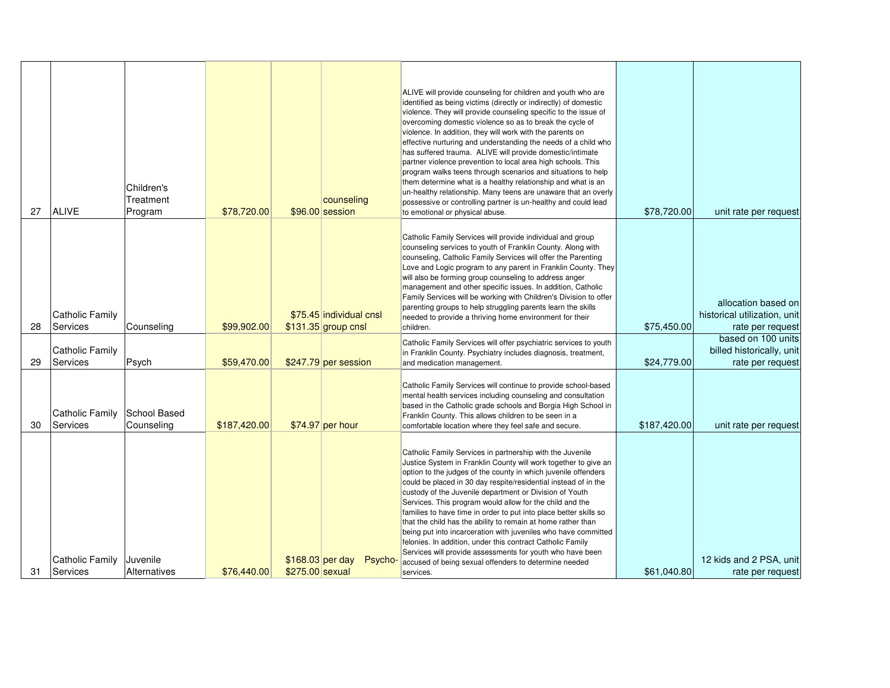| 27 | <b>ALIVE</b>                       | Children's<br>Treatment<br>Program | \$78,720.00  |                                     | counseling<br>\$96.00 session                  | ALIVE will provide counseling for children and youth who are<br>identified as being victims (directly or indirectly) of domestic<br>violence. They will provide counseling specific to the issue of<br>overcoming domestic violence so as to break the cycle of<br>violence. In addition, they will work with the parents on<br>effective nurturing and understanding the needs of a child who<br>has suffered trauma. ALIVE will provide domestic/intimate<br>partner violence prevention to local area high schools. This<br>program walks teens through scenarios and situations to help<br>them determine what is a healthy relationship and what is an<br>un-healthy relationship. Many teens are unaware that an overly<br>possessive or controlling partner is un-healthy and could lead<br>to emotional or physical abuse. | \$78,720.00  | unit rate per request                                                   |
|----|------------------------------------|------------------------------------|--------------|-------------------------------------|------------------------------------------------|------------------------------------------------------------------------------------------------------------------------------------------------------------------------------------------------------------------------------------------------------------------------------------------------------------------------------------------------------------------------------------------------------------------------------------------------------------------------------------------------------------------------------------------------------------------------------------------------------------------------------------------------------------------------------------------------------------------------------------------------------------------------------------------------------------------------------------|--------------|-------------------------------------------------------------------------|
| 28 | <b>Catholic Family</b><br>Services | Counseling                         | \$99,902.00  |                                     | \$75.45 individual cnsl<br>\$131.35 group cnsl | Catholic Family Services will provide individual and group<br>counseling services to youth of Franklin County. Along with<br>counseling, Catholic Family Services will offer the Parenting<br>Love and Logic program to any parent in Franklin County. They<br>will also be forming group counseling to address anger<br>management and other specific issues. In addition, Catholic<br>Family Services will be working with Children's Division to offer<br>parenting groups to help struggling parents learn the skills<br>needed to provide a thriving home environment for their<br>children.                                                                                                                                                                                                                                  | \$75,450.00  | allocation based on<br>historical utilization, unit<br>rate per request |
| 29 | Catholic Family<br>Services        | Psych                              | \$59,470.00  |                                     | \$247.79 per session                           | Catholic Family Services will offer psychiatric services to youth<br>in Franklin County. Psychiatry includes diagnosis, treatment,<br>and medication management.                                                                                                                                                                                                                                                                                                                                                                                                                                                                                                                                                                                                                                                                   | \$24,779.00  | based on 100 units<br>billed historically, unit<br>rate per request     |
| 30 | <b>Catholic Family</b><br>Services | School Based<br>Counseling         | \$187,420.00 |                                     | $$74.97$ per hour                              | Catholic Family Services will continue to provide school-based<br>mental health services including counseling and consultation<br>based in the Catholic grade schools and Borgia High School in<br>Franklin County. This allows children to be seen in a<br>comfortable location where they feel safe and secure.                                                                                                                                                                                                                                                                                                                                                                                                                                                                                                                  | \$187,420.00 | unit rate per request                                                   |
| 31 | <b>Catholic Family</b><br>Services | Juvenile<br>Alternatives           | \$76,440.00  | \$168.03 per day<br>\$275.00 sexual | Psycho-                                        | Catholic Family Services in partnership with the Juvenile<br>Justice System in Franklin County will work together to give an<br>option to the judges of the county in which juvenile offenders<br>could be placed in 30 day respite/residential instead of in the<br>custody of the Juvenile department or Division of Youth<br>Services. This program would allow for the child and the<br>families to have time in order to put into place better skills so<br>that the child has the ability to remain at home rather than<br>being put into incarceration with juveniles who have committed<br>felonies. In addition, under this contract Catholic Family<br>Services will provide assessments for youth who have been<br>accused of being sexual offenders to determine needed<br>services.                                   | \$61,040.80  | 12 kids and 2 PSA, unit<br>rate per request                             |